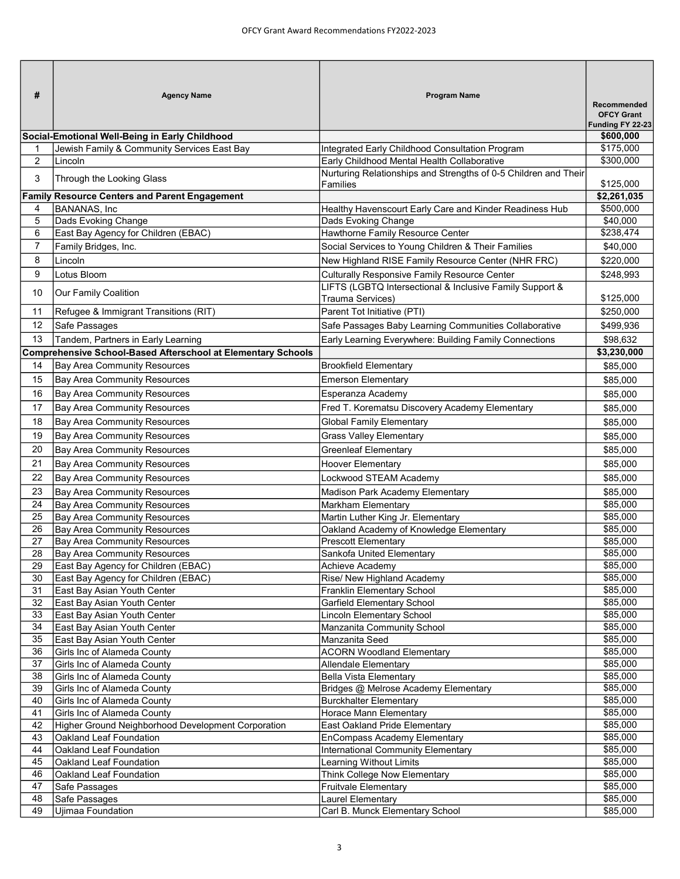| #              | <b>Agency Name</b>                                                  | <b>Program Name</b>                                                         | <b>Recommended</b><br><b>OFCY Grant</b><br>Funding FY 22-23 |
|----------------|---------------------------------------------------------------------|-----------------------------------------------------------------------------|-------------------------------------------------------------|
|                | Social-Emotional Well-Being in Early Childhood                      |                                                                             | \$600,000                                                   |
|                | Jewish Family & Community Services East Bay                         | Integrated Early Childhood Consultation Program                             | \$175,000                                                   |
| $\overline{a}$ | Lincoln                                                             | Early Childhood Mental Health Collaborative                                 | \$300,000                                                   |
| 3              | Through the Looking Glass                                           | Nurturing Relationships and Strengths of 0-5 Children and Their<br>Families | \$125,000                                                   |
|                | <b>Family Resource Centers and Parent Engagement</b>                |                                                                             | \$2,261,035                                                 |
| 4              | <b>BANANAS, Inc.</b>                                                | Healthy Havenscourt Early Care and Kinder Readiness Hub                     | \$500,000                                                   |
| 5              | Dads Evoking Change                                                 | Dads Evoking Change                                                         | \$40,000                                                    |
| 6              | East Bay Agency for Children (EBAC)                                 | Hawthorne Family Resource Center                                            | \$238,474                                                   |
| $\overline{7}$ | Family Bridges, Inc.                                                | Social Services to Young Children & Their Families                          | \$40,000                                                    |
| 8              | Lincoln                                                             | New Highland RISE Family Resource Center (NHR FRC)                          | \$220,000                                                   |
| 9              | Lotus Bloom                                                         | <b>Culturally Responsive Family Resource Center</b>                         | \$248,993                                                   |
|                |                                                                     | LIFTS (LGBTQ Intersectional & Inclusive Family Support &                    |                                                             |
| 10             | Our Family Coalition                                                | Trauma Services)                                                            | \$125,000                                                   |
| 11             | Refugee & Immigrant Transitions (RIT)                               | Parent Tot Initiative (PTI)                                                 | \$250,000                                                   |
| 12             | Safe Passages                                                       | Safe Passages Baby Learning Communities Collaborative                       | \$499,936                                                   |
| 13             | Tandem, Partners in Early Learning                                  | Early Learning Everywhere: Building Family Connections                      | \$98,632                                                    |
|                | <b>Comprehensive School-Based Afterschool at Elementary Schools</b> |                                                                             | \$3,230,000                                                 |
| 14             | Bay Area Community Resources                                        | <b>Brookfield Elementary</b>                                                |                                                             |
|                |                                                                     |                                                                             | \$85,000                                                    |
| 15             | Bay Area Community Resources                                        | <b>Emerson Elementary</b>                                                   | \$85,000                                                    |
| 16             | <b>Bay Area Community Resources</b>                                 | Esperanza Academy                                                           | \$85,000                                                    |
| 17             | <b>Bay Area Community Resources</b>                                 | Fred T. Korematsu Discovery Academy Elementary                              | \$85,000                                                    |
| 18             | <b>Bay Area Community Resources</b>                                 | <b>Global Family Elementary</b>                                             | \$85,000                                                    |
| 19             | <b>Bay Area Community Resources</b>                                 | <b>Grass Valley Elementary</b>                                              | \$85,000                                                    |
| 20             | <b>Bay Area Community Resources</b>                                 | <b>Greenleaf Elementary</b>                                                 | \$85,000                                                    |
| 21             | <b>Bay Area Community Resources</b>                                 | <b>Hoover Elementary</b>                                                    | \$85,000                                                    |
| 22             | <b>Bay Area Community Resources</b>                                 | Lockwood STEAM Academy                                                      | \$85,000                                                    |
| 23             | <b>Bay Area Community Resources</b>                                 | Madison Park Academy Elementary                                             | \$85,000                                                    |
| 24             | <b>Bay Area Community Resources</b>                                 | Markham Elementary                                                          | \$85,000                                                    |
| 25             | <b>Bay Area Community Resources</b>                                 | Martin Luther King Jr. Elementary                                           | \$85,000                                                    |
| 26             | <b>Bay Area Community Resources</b>                                 | Oakland Academy of Knowledge Elementary                                     | \$85,000                                                    |
| 27             | <b>Bay Area Community Resources</b>                                 | <b>Prescott Elementary</b>                                                  | \$85,000                                                    |
| 28             | <b>Bay Area Community Resources</b>                                 | Sankofa United Elementary                                                   | \$85,000                                                    |
| 29             | East Bay Agency for Children (EBAC)                                 | Achieve Academy                                                             | \$85,000                                                    |
| 30             | East Bay Agency for Children (EBAC)                                 | Rise/ New Highland Academy                                                  | \$85,000                                                    |
| 31             | East Bay Asian Youth Center                                         | Franklin Elementary School                                                  | \$85,000                                                    |
| 32             | East Bay Asian Youth Center                                         | Garfield Elementary School                                                  | \$85,000                                                    |
| 33             | East Bay Asian Youth Center                                         | Lincoln Elementary School                                                   | \$85,000                                                    |
| 34             | East Bay Asian Youth Center                                         | Manzanita Community School                                                  | \$85,000                                                    |
| 35             | East Bay Asian Youth Center                                         | Manzanita Seed                                                              | \$85,000                                                    |
| 36             | Girls Inc of Alameda County                                         | <b>ACORN Woodland Elementary</b>                                            | \$85,000                                                    |
| 37             | Girls Inc of Alameda County                                         | Allendale Elementary                                                        | \$85,000                                                    |
| 38             | Girls Inc of Alameda County                                         | <b>Bella Vista Elementary</b>                                               | \$85,000                                                    |
| 39             | Girls Inc of Alameda County                                         | Bridges @ Melrose Academy Elementary                                        | \$85,000                                                    |
| 40             | Girls Inc of Alameda County                                         | <b>Burckhalter Elementary</b>                                               | \$85,000                                                    |
| 41             | Girls Inc of Alameda County                                         | Horace Mann Elementary                                                      | \$85,000                                                    |
| 42             | Higher Ground Neighborhood Development Corporation                  | East Oakland Pride Elementary                                               | \$85,000                                                    |
| 43             | Oakland Leaf Foundation                                             | EnCompass Academy Elementary                                                | \$85,000                                                    |
| 44             | Oakland Leaf Foundation                                             | International Community Elementary                                          | \$85,000                                                    |
| 45             | Oakland Leaf Foundation                                             | Learning Without Limits                                                     | \$85,000                                                    |
| 46             | Oakland Leaf Foundation                                             | Think College Now Elementary                                                | \$85,000                                                    |
| 47             | Safe Passages                                                       | <b>Fruitvale Elementary</b>                                                 | \$85,000                                                    |
| 48             | Safe Passages                                                       | Laurel Elementary                                                           | \$85,000                                                    |
| 49             | Ujimaa Foundation                                                   | Carl B. Munck Elementary School                                             | \$85,000                                                    |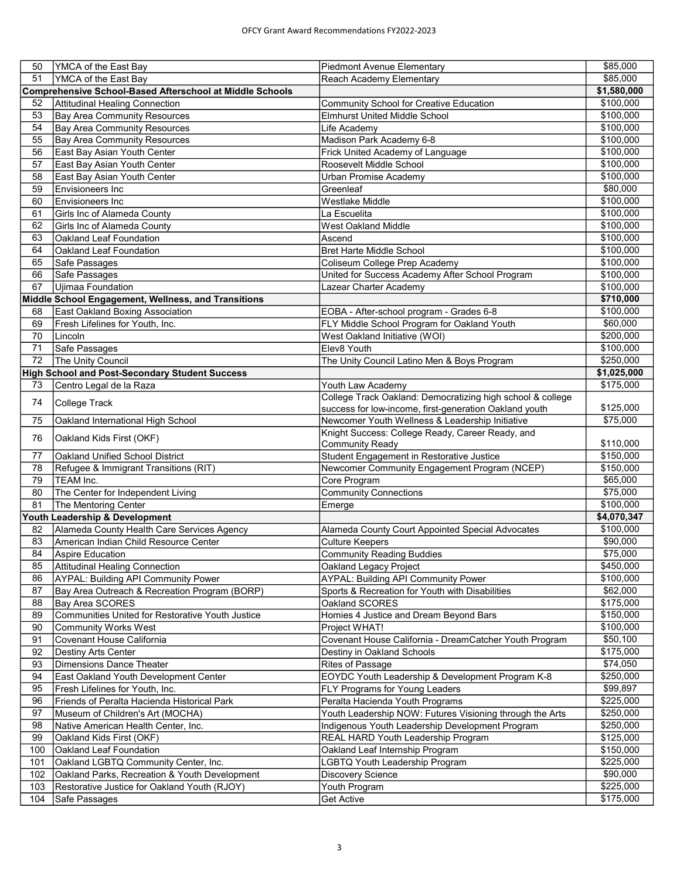| 50  | YMCA of the East Bay                                            | <b>Piedmont Avenue Elementary</b>                          | \$85,000              |
|-----|-----------------------------------------------------------------|------------------------------------------------------------|-----------------------|
| 51  | YMCA of the East Bay                                            | Reach Academy Elementary                                   | \$85,000              |
|     | <b>Comprehensive School-Based Afterschool at Middle Schools</b> |                                                            | \$1,580,000           |
| 52  | Attitudinal Healing Connection                                  | <b>Community School for Creative Education</b>             | \$100,000             |
| 53  | Bay Area Community Resources                                    | <b>Elmhurst United Middle School</b>                       | \$100,000             |
| 54  | Bay Area Community Resources                                    | Life Academy                                               | \$100,000             |
| 55  | Bay Area Community Resources                                    | Madison Park Academy 6-8                                   | \$100,000             |
| 56  | East Bay Asian Youth Center                                     | Frick United Academy of Language                           | \$100,000             |
| 57  | East Bay Asian Youth Center                                     | Roosevelt Middle School                                    | $\overline{$100,000}$ |
| 58  | East Bay Asian Youth Center                                     | Urban Promise Academy                                      | \$100,000             |
| 59  | Envisioneers Inc                                                | Greenleaf                                                  | \$80,000              |
| 60  | <b>Envisioneers Inc</b>                                         | <b>Westlake Middle</b>                                     | \$100,000             |
| 61  | Girls Inc of Alameda County                                     | La Escuelita                                               | \$100,000             |
| 62  | Girls Inc of Alameda County                                     | <b>West Oakland Middle</b>                                 | \$100,000             |
| 63  | Oakland Leaf Foundation                                         | Ascend                                                     | \$100,000             |
| 64  | Oakland Leaf Foundation                                         | <b>Bret Harte Middle School</b>                            | \$100,000             |
| 65  | Safe Passages                                                   | Coliseum College Prep Academy                              | \$100,000             |
| 66  | Safe Passages                                                   | United for Success Academy After School Program            | \$100,000             |
| 67  | Ujimaa Foundation                                               | Lazear Charter Academy                                     | \$100,000             |
|     | Middle School Engagement, Wellness, and Transitions             |                                                            | \$710,000             |
| 68  | East Oakland Boxing Association                                 | EOBA - After-school program - Grades 6-8                   | \$100,000             |
| 69  | Fresh Lifelines for Youth, Inc.                                 | FLY Middle School Program for Oakland Youth                | \$60,000              |
| 70  | Lincoln                                                         | West Oakland Initiative (WOI)                              | \$200,000             |
| 71  | Safe Passages                                                   | Elev8 Youth                                                | \$100,000             |
| 72  | The Unity Council                                               | The Unity Council Latino Men & Boys Program                | \$250,000             |
|     | <b>High School and Post-Secondary Student Success</b>           |                                                            | \$1,025,000           |
| 73  | Centro Legal de la Raza                                         | Youth Law Academy                                          | \$175,000             |
| 74  | College Track                                                   | College Track Oakland: Democratizing high school & college |                       |
|     |                                                                 | success for low-income, first-generation Oakland youth     | \$125,000             |
| 75  | Oakland International High School                               | Newcomer Youth Wellness & Leadership Initiative            | \$75,000              |
| 76  | Oakland Kids First (OKF)                                        | Knight Success: College Ready, Career Ready, and           |                       |
|     |                                                                 | <b>Community Ready</b>                                     | \$110,000             |
| 77  | Oakland Unified School District                                 | Student Engagement in Restorative Justice                  | \$150,000             |
| 78  | Refugee & Immigrant Transitions (RIT)                           | Newcomer Community Engagement Program (NCEP)               | \$150,000             |
| 79  | <b>TEAM Inc.</b>                                                | Core Program                                               | \$65,000              |
| 80  | The Center for Independent Living                               | <b>Community Connections</b>                               | \$75,000              |
| 81  | The Mentoring Center                                            | Emerge                                                     | \$100,000             |
|     | Youth Leadership & Development                                  |                                                            | \$4,070,347           |
| 82  | Alameda County Health Care Services Agency                      | Alameda County Court Appointed Special Advocates           | \$100,000             |
| 83  | American Indian Child Resource Center                           | <b>Culture Keepers</b>                                     | \$90,000              |
| 84  | Aspire Education                                                | <b>Community Reading Buddies</b>                           | \$75,000              |
| 85  | Attitudinal Healing Connection                                  | Oakland Legacy Project                                     | \$450,000             |
| 86  | <b>AYPAL: Building API Community Power</b>                      | <b>AYPAL: Building API Community Power</b>                 | \$100,000             |
| 87  | Bay Area Outreach & Recreation Program (BORP)                   | Sports & Recreation for Youth with Disabilities            | \$62,000              |
| 88  | Bay Area SCORES                                                 | Oakland SCORES                                             | \$175,000             |
| 89  | Communities United for Restorative Youth Justice                | Homies 4 Justice and Dream Beyond Bars                     | \$150,000             |
| 90  | <b>Community Works West</b>                                     | Project WHAT!                                              | \$100,000             |
| 91  | Covenant House California                                       | Covenant House California - DreamCatcher Youth Program     | \$50,100              |
| 92  | <b>Destiny Arts Center</b>                                      | Destiny in Oakland Schools                                 | \$175,000             |
| 93  | <b>Dimensions Dance Theater</b>                                 | Rites of Passage                                           | \$74,050              |
| 94  | East Oakland Youth Development Center                           | EOYDC Youth Leadership & Development Program K-8           | \$250,000             |
| 95  | Fresh Lifelines for Youth, Inc.                                 | FLY Programs for Young Leaders                             | \$99,897              |
| 96  | Friends of Peralta Hacienda Historical Park                     | Peralta Hacienda Youth Programs                            | \$225,000             |
| 97  | Museum of Children's Art (MOCHA)                                | Youth Leadership NOW: Futures Visioning through the Arts   | \$250,000             |
| 98  | Native American Health Center, Inc.                             | Indigenous Youth Leadership Development Program            | \$250,000             |
| 99  | Oakland Kids First (OKF)                                        | REAL HARD Youth Leadership Program                         | \$125,000             |
| 100 | Oakland Leaf Foundation                                         | Oakland Leaf Internship Program                            | \$150,000             |
| 101 | Oakland LGBTQ Community Center, Inc.                            | LGBTQ Youth Leadership Program                             | \$225,000             |
| 102 | Oakland Parks, Recreation & Youth Development                   | <b>Discovery Science</b>                                   | \$90,000              |
| 103 | Restorative Justice for Oakland Youth (RJOY)                    | Youth Program                                              | \$225,000             |
| 104 | Safe Passages                                                   | Get Active                                                 | \$175,000             |